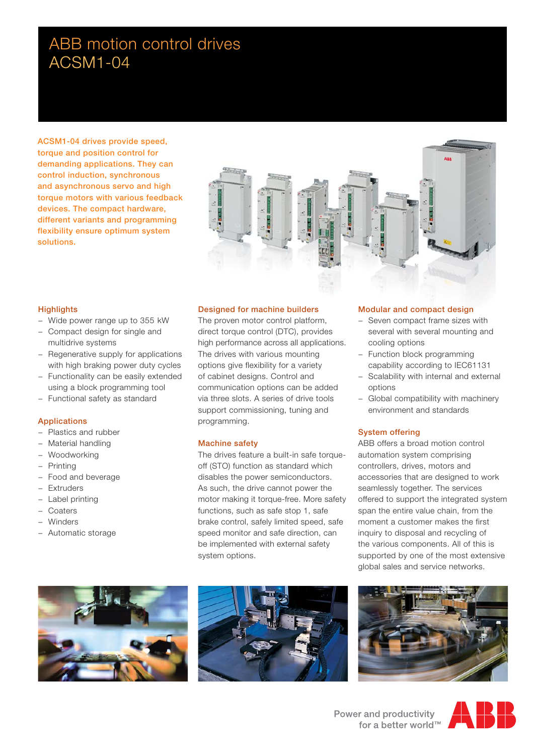# ABB motion control drives ACSM1-04

**ACSM1-04 drives provide speed, torque and position control for demanding applications. They can control induction, synchronous and asynchronous servo and high torque motors with various feedback devices. The compact hardware, different variants and programming flexibility ensure optimum system solutions.**



# **Highlights**

- − Wide power range up to 355 kW
- − Compact design for single and multidrive systems
- − Regenerative supply for applications with high braking power duty cycles
- − Functionality can be easily extended using a block programming tool
- − Functional safety as standard

# **Applications**

- − Plastics and rubber
- − Material handling
- − Woodworking
- − Printing
- − Food and beverage
- **Extruders**
- − Label printing
- − Coaters
- − Winders
- − Automatic storage



# **Designed for machine builders**

The proven motor control platform, direct torque control (DTC), provides high performance across all applications. The drives with various mounting options give flexibility for a variety of cabinet designs. Control and communication options can be added via three slots. A series of drive tools support commissioning, tuning and programming.

### **Machine safety**

The drives feature a built-in safe torqueoff (STO) function as standard which disables the power semiconductors. As such, the drive cannot power the motor making it torque-free. More safety functions, such as safe stop 1, safe brake control, safely limited speed, safe speed monitor and safe direction, can be implemented with external safety system options.

### **Modular and compact design**

- − Seven compact frame sizes with several with several mounting and cooling options
- − Function block programming capability according to IEC61131
- − Scalability with internal and external options
- − Global compatibility with machinery environment and standards

### **System offering**

ABB offers a broad motion control automation system comprising controllers, drives, motors and accessories that are designed to work seamlessly together. The services offered to support the integrated system span the entire value chain, from the moment a customer makes the first inquiry to disposal and recycling of the various components. All of this is supported by one of the most extensive global sales and service networks.